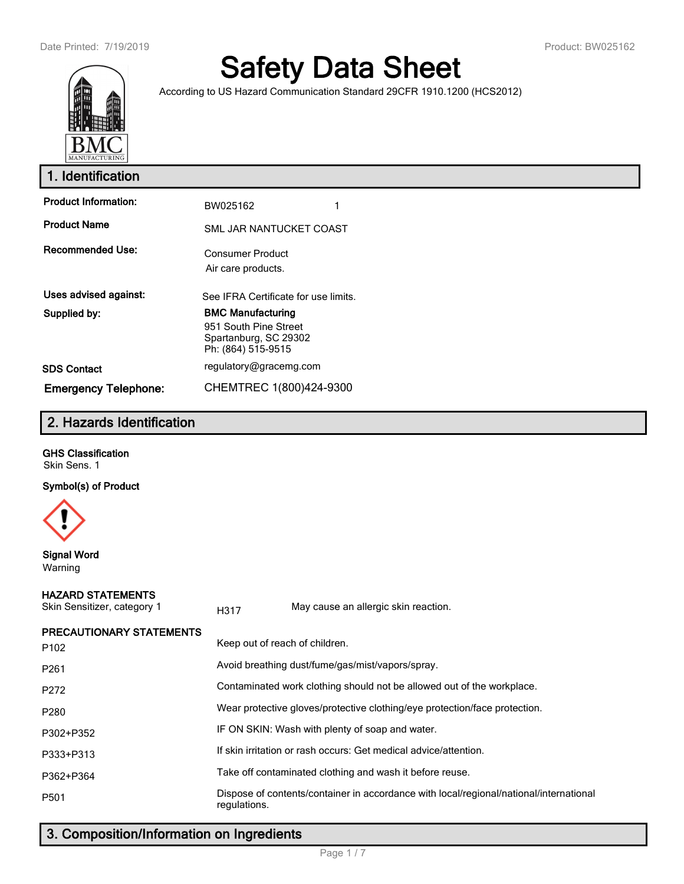

# **Safety Data Sheet**

According to US Hazard Communication Standard 29CFR 1910.1200 (HCS2012)

| 1. Identification           |                                                                                                  |  |  |  |
|-----------------------------|--------------------------------------------------------------------------------------------------|--|--|--|
| <b>Product Information:</b> | BW025162                                                                                         |  |  |  |
| <b>Product Name</b>         | SML JAR NANTUCKET COAST                                                                          |  |  |  |
| <b>Recommended Use:</b>     | <b>Consumer Product</b><br>Air care products.                                                    |  |  |  |
| Uses advised against:       | See IFRA Certificate for use limits.                                                             |  |  |  |
| Supplied by:                | <b>BMC Manufacturing</b><br>951 South Pine Street<br>Spartanburg, SC 29302<br>Ph: (864) 515-9515 |  |  |  |
| <b>SDS Contact</b>          | regulatory@gracemg.com                                                                           |  |  |  |
| <b>Emergency Telephone:</b> | CHEMTREC 1(800)424-9300                                                                          |  |  |  |

# **2. Hazards Identification**

#### **GHS Classification**

Skin Sens. 1

#### **Symbol(s) of Product**



**Signal Word** Warning

#### **HAZARD STATEMENTS**

| Skin Sensitizer, category 1                         | H317                                             | May cause an allergic skin reaction.                                                   |  |  |
|-----------------------------------------------------|--------------------------------------------------|----------------------------------------------------------------------------------------|--|--|
| <b>PRECAUTIONARY STATEMENTS</b><br>P <sub>102</sub> | Keep out of reach of children.                   |                                                                                        |  |  |
| P <sub>261</sub>                                    | Avoid breathing dust/fume/gas/mist/vapors/spray. |                                                                                        |  |  |
| P272                                                |                                                  | Contaminated work clothing should not be allowed out of the workplace.                 |  |  |
| P280                                                |                                                  | Wear protective gloves/protective clothing/eye protection/face protection.             |  |  |
| P302+P352                                           |                                                  | IF ON SKIN: Wash with plenty of soap and water.                                        |  |  |
| P333+P313                                           |                                                  | If skin irritation or rash occurs: Get medical advice/attention.                       |  |  |
| P362+P364                                           |                                                  | Take off contaminated clothing and wash it before reuse.                               |  |  |
| P <sub>501</sub>                                    | regulations.                                     | Dispose of contents/container in accordance with local/regional/national/international |  |  |

# **3. Composition/Information on Ingredients**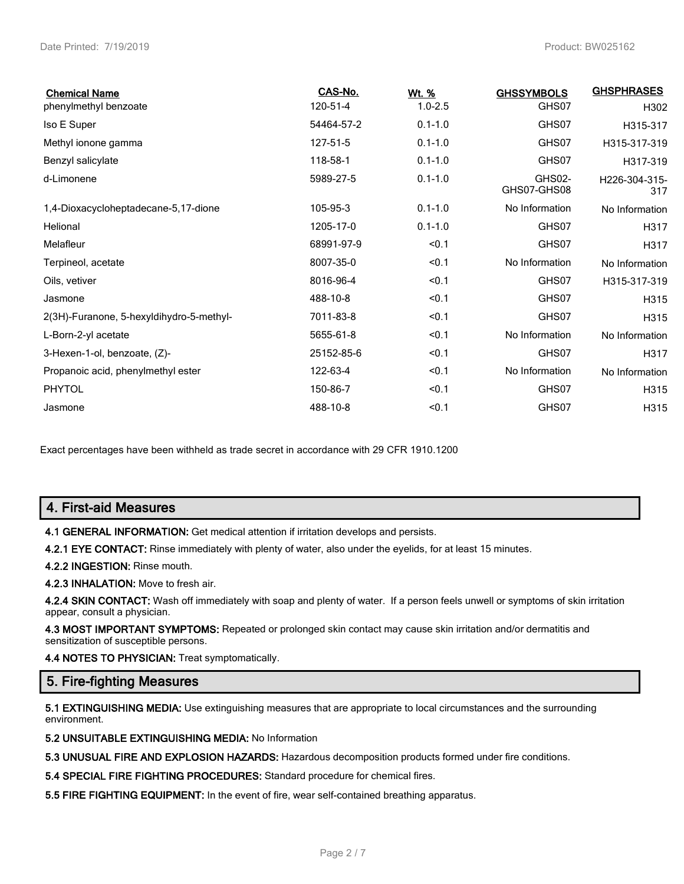| <b>Chemical Name</b>                     | CAS-No.    | Wt. %       | <b>GHSSYMBOLS</b>     | <b>GHSPHRASES</b>    |
|------------------------------------------|------------|-------------|-----------------------|----------------------|
| phenylmethyl benzoate                    | 120-51-4   | $1.0 - 2.5$ | GHS07                 | H302                 |
| Iso E Super                              | 54464-57-2 | $0.1 - 1.0$ | GHS07                 | H315-317             |
| Methyl ionone gamma                      | 127-51-5   | $0.1 - 1.0$ | GHS07                 | H315-317-319         |
| Benzyl salicylate                        | 118-58-1   | $0.1 - 1.0$ | GHS07                 | H317-319             |
| d-Limonene                               | 5989-27-5  | $0.1 - 1.0$ | GHS02-<br>GHS07-GHS08 | H226-304-315-<br>317 |
| 1,4-Dioxacycloheptadecane-5,17-dione     | 105-95-3   | $0.1 - 1.0$ | No Information        | No Information       |
| Helional                                 | 1205-17-0  | $0.1 - 1.0$ | GHS07                 | H317                 |
| Melafleur                                | 68991-97-9 | < 0.1       | GHS07                 | H317                 |
| Terpineol, acetate                       | 8007-35-0  | < 0.1       | No Information        | No Information       |
| Oils, vetiver                            | 8016-96-4  | < 0.1       | GHS07                 | H315-317-319         |
| Jasmone                                  | 488-10-8   | < 0.1       | GHS07                 | H315                 |
| 2(3H)-Furanone, 5-hexyldihydro-5-methyl- | 7011-83-8  | < 0.1       | GHS07                 | H315                 |
| L-Born-2-yl acetate                      | 5655-61-8  | < 0.1       | No Information        | No Information       |
| 3-Hexen-1-ol, benzoate, (Z)-             | 25152-85-6 | < 0.1       | GHS07                 | H317                 |
| Propanoic acid, phenylmethyl ester       | 122-63-4   | < 0.1       | No Information        | No Information       |
| <b>PHYTOL</b>                            | 150-86-7   | < 0.1       | GHS07                 | H315                 |
| Jasmone                                  | 488-10-8   | < 0.1       | GHS07                 | H315                 |

Exact percentages have been withheld as trade secret in accordance with 29 CFR 1910.1200

# **4. First-aid Measures**

**4.1 GENERAL INFORMATION:** Get medical attention if irritation develops and persists.

**4.2.1 EYE CONTACT:** Rinse immediately with plenty of water, also under the eyelids, for at least 15 minutes.

**4.2.2 INGESTION:** Rinse mouth.

**4.2.3 INHALATION:** Move to fresh air.

**4.2.4 SKIN CONTACT:** Wash off immediately with soap and plenty of water. If a person feels unwell or symptoms of skin irritation appear, consult a physician.

**4.3 MOST IMPORTANT SYMPTOMS:** Repeated or prolonged skin contact may cause skin irritation and/or dermatitis and sensitization of susceptible persons.

**4.4 NOTES TO PHYSICIAN:** Treat symptomatically.

## **5. Fire-fighting Measures**

**5.1 EXTINGUISHING MEDIA:** Use extinguishing measures that are appropriate to local circumstances and the surrounding environment.

**5.2 UNSUITABLE EXTINGUISHING MEDIA:** No Information

**5.3 UNUSUAL FIRE AND EXPLOSION HAZARDS:** Hazardous decomposition products formed under fire conditions.

**5.4 SPECIAL FIRE FIGHTING PROCEDURES:** Standard procedure for chemical fires.

**5.5 FIRE FIGHTING EQUIPMENT:** In the event of fire, wear self-contained breathing apparatus.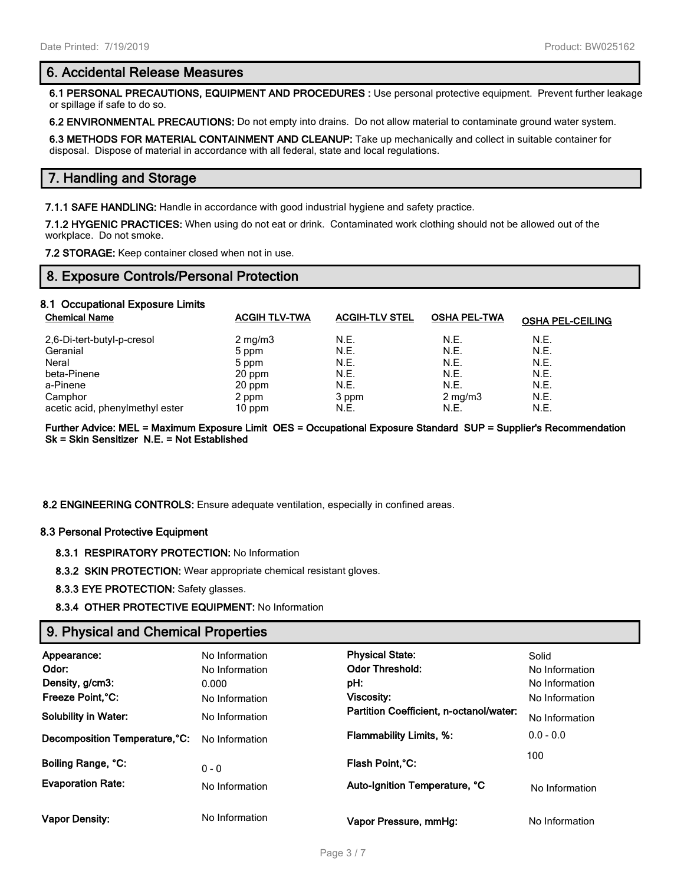#### **6. Accidental Release Measures**

**6.1 PERSONAL PRECAUTIONS, EQUIPMENT AND PROCEDURES :** Use personal protective equipment. Prevent further leakage or spillage if safe to do so.

**6.2 ENVIRONMENTAL PRECAUTIONS:** Do not empty into drains. Do not allow material to contaminate ground water system.

**6.3 METHODS FOR MATERIAL CONTAINMENT AND CLEANUP:** Take up mechanically and collect in suitable container for disposal. Dispose of material in accordance with all federal, state and local regulations.

## **7. Handling and Storage**

**7.1.1 SAFE HANDLING:** Handle in accordance with good industrial hygiene and safety practice.

**7.1.2 HYGENIC PRACTICES:** When using do not eat or drink. Contaminated work clothing should not be allowed out of the workplace. Do not smoke.

**7.2 STORAGE:** Keep container closed when not in use.

## **8. Exposure Controls/Personal Protection**

# **8.1 Occupational Exposure Limits**

| <b>Chemical Name</b>            | <b>ACGIH TLV-TWA</b> | <b>ACGIH-TLV STEL</b> | <b>OSHA PEL-TWA</b> | <b>OSHA PEL-CEILING</b> |
|---------------------------------|----------------------|-----------------------|---------------------|-------------------------|
| 2,6-Di-tert-butyl-p-cresol      | $2 \text{ mg/m}$     | N.E.                  | N.E.                | N.E.                    |
| Geranial                        | 5 ppm                | N.E.                  | N.E.                | N.E.                    |
| Neral                           | 5 ppm                | N.E.                  | N.E.                | N.E.                    |
| beta-Pinene                     | 20 ppm               | N.E.                  | N.E.                | N.E.                    |
| a-Pinene                        | 20 ppm               | N.E.                  | N.E.                | N.E.                    |
| Camphor                         | 2 ppm                | 3 ppm                 | $2 \text{ mg/m}$    | N.E.                    |
| acetic acid, phenylmethyl ester | $10$ ppm             | N.E.                  | N.E.                | N.E.                    |

**Further Advice: MEL = Maximum Exposure Limit OES = Occupational Exposure Standard SUP = Supplier's Recommendation Sk = Skin Sensitizer N.E. = Not Established**

**8.2 ENGINEERING CONTROLS:** Ensure adequate ventilation, especially in confined areas.

#### **8.3 Personal Protective Equipment**

**8.3.1 RESPIRATORY PROTECTION:** No Information

**8.3.2 SKIN PROTECTION:** Wear appropriate chemical resistant gloves.

**8.3.3 EYE PROTECTION:** Safety glasses.

**8.3.4 OTHER PROTECTIVE EQUIPMENT:** No Information

#### **9. Physical and Chemical Properties**

| Appearance:<br>Odor:<br>Density, g/cm3:<br>Freeze Point, °C:<br><b>Solubility in Water:</b> | No Information<br>No Information<br>0.000<br>No Information<br>No Information | <b>Physical State:</b><br><b>Odor Threshold:</b><br>pH:<br>Viscosity:<br>Partition Coefficient, n-octanol/water: | Solid<br>No Information<br>No Information<br>No Information<br>No Information |
|---------------------------------------------------------------------------------------------|-------------------------------------------------------------------------------|------------------------------------------------------------------------------------------------------------------|-------------------------------------------------------------------------------|
| Decomposition Temperature, °C:                                                              | No Information                                                                | <b>Flammability Limits, %:</b>                                                                                   | $0.0 - 0.0$                                                                   |
| Boiling Range, °C:                                                                          | $0 - 0$                                                                       | Flash Point, °C:                                                                                                 | 100                                                                           |
| <b>Evaporation Rate:</b>                                                                    | No Information                                                                | Auto-Ignition Temperature, °C                                                                                    | No Information                                                                |
| <b>Vapor Density:</b>                                                                       | No Information                                                                | Vapor Pressure, mmHg:                                                                                            | No Information                                                                |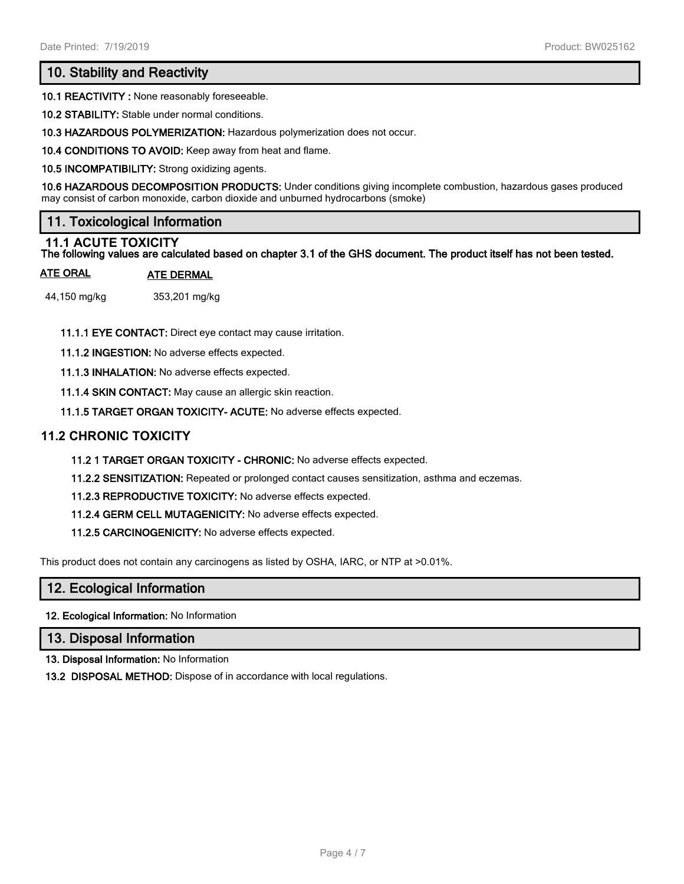# **10. Stability and Reactivity**

**10.1 REACTIVITY :** None reasonably foreseeable.

**10.2 STABILITY:** Stable under normal conditions.

**10.3 HAZARDOUS POLYMERIZATION:** Hazardous polymerization does not occur.

**10.4 CONDITIONS TO AVOID:** Keep away from heat and flame.

**10.5 INCOMPATIBILITY:** Strong oxidizing agents.

**10.6 HAZARDOUS DECOMPOSITION PRODUCTS:** Under conditions giving incomplete combustion, hazardous gases produced may consist of carbon monoxide, carbon dioxide and unburned hydrocarbons (smoke)

# **11. Toxicological Information**

#### **11.1 ACUTE TOXICITY**

**The following values are calculated based on chapter 3.1 of the GHS document. The product itself has not been tested.**

#### **ATE ORAL ATE DERMAL**

44,150 mg/kg 353,201 mg/kg

**11.1.1 EYE CONTACT:** Direct eye contact may cause irritation.

**11.1.2 INGESTION:** No adverse effects expected.

**11.1.3 INHALATION:** No adverse effects expected.

**11.1.4 SKIN CONTACT:** May cause an allergic skin reaction.

**11.1.5 TARGET ORGAN TOXICITY- ACUTE:** No adverse effects expected.

#### **11.2 CHRONIC TOXICITY**

**11.2 1 TARGET ORGAN TOXICITY - CHRONIC:** No adverse effects expected.

**11.2.2 SENSITIZATION:** Repeated or prolonged contact causes sensitization, asthma and eczemas.

**11.2.3 REPRODUCTIVE TOXICITY:** No adverse effects expected.

**11.2.4 GERM CELL MUTAGENICITY:** No adverse effects expected.

**11.2.5 CARCINOGENICITY:** No adverse effects expected.

This product does not contain any carcinogens as listed by OSHA, IARC, or NTP at >0.01%.

#### **12. Ecological Information**

**12. Ecological Information:** No Information

#### **13. Disposal Information**

**13. Disposal Information:** No Information

**13.2 DISPOSAL METHOD:** Dispose of in accordance with local regulations.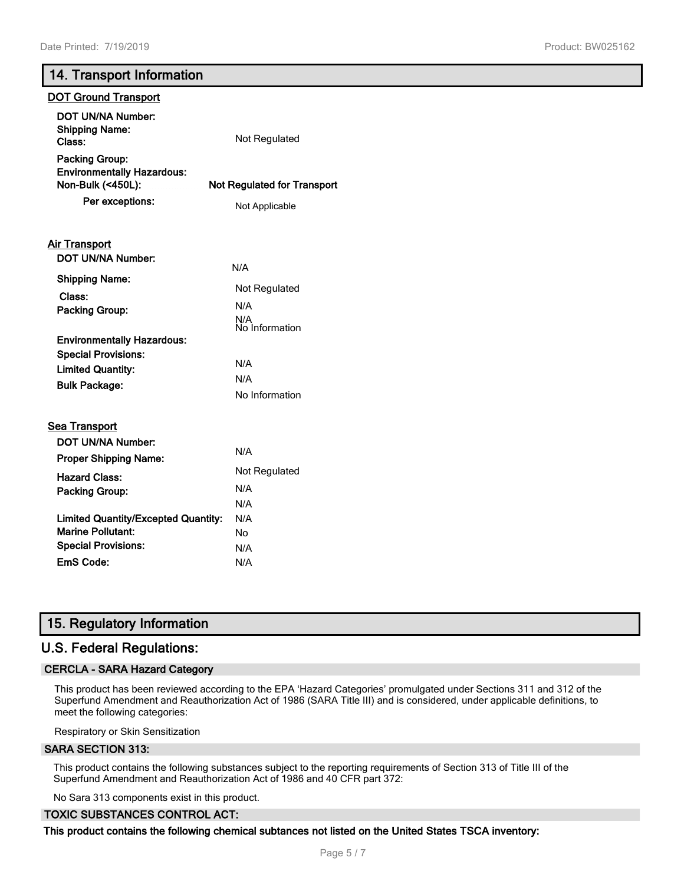#### **14. Transport Information**

# **DOT Ground Transport DOT UN/NA Number: Shipping Name: Class:** Not Regulated **Packing Group: Environmentally Hazardous: Non-Bulk (<450L): Not Regulated for Transport Per exceptions:** Not Applicable **Air Transport DOT UN/NA Number:** N/A Not Regulated **Shipping Name: Class: Packing Group:** N/A N/A No Information **Environmentally Hazardous: Special Provisions:** N/A **Limited Quantity: Bulk Package:** No Information **Sea Transport DOT UN/NA Number:** N/A **Proper Shipping Name:** Not Regulated **Hazard Class: Packing Group:** N/A N/A **Limited Quantity/Excepted Quantity:** N/A **Marine Pollutant:** No **Special Provisions:** N/A **EmS Code:** N/A

# **15. Regulatory Information**

# **U.S. Federal Regulations:**

#### **CERCLA - SARA Hazard Category**

This product has been reviewed according to the EPA 'Hazard Categories' promulgated under Sections 311 and 312 of the Superfund Amendment and Reauthorization Act of 1986 (SARA Title III) and is considered, under applicable definitions, to meet the following categories:

Respiratory or Skin Sensitization

#### **SARA SECTION 313:**

This product contains the following substances subject to the reporting requirements of Section 313 of Title III of the Superfund Amendment and Reauthorization Act of 1986 and 40 CFR part 372:

No Sara 313 components exist in this product.

#### **TOXIC SUBSTANCES CONTROL ACT:**

**This product contains the following chemical subtances not listed on the United States TSCA inventory:**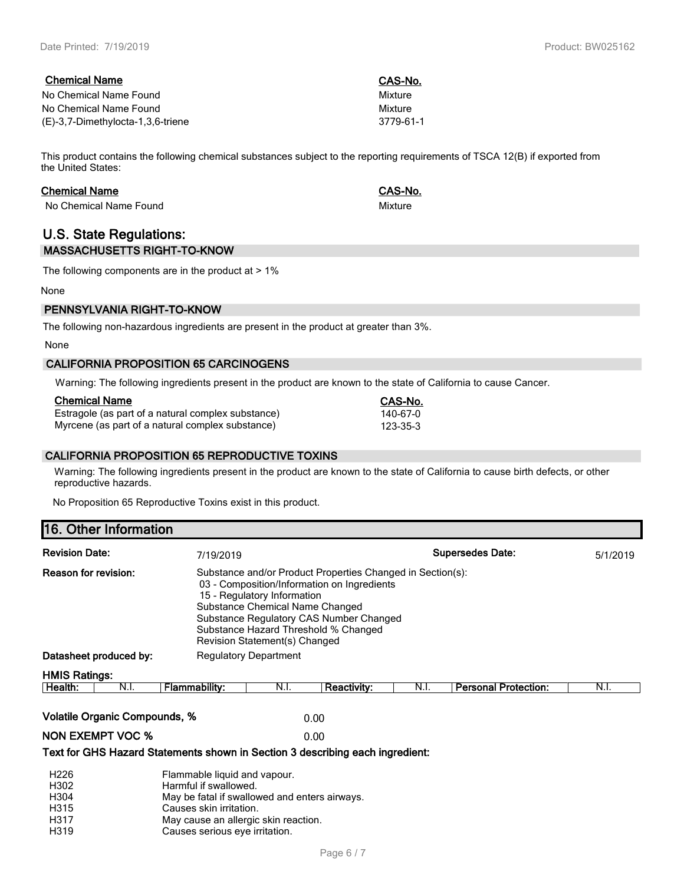| <b>Chemical Name</b>              | CAS-No.   |
|-----------------------------------|-----------|
| No Chemical Name Found            | Mixture   |
| No Chemical Name Found            | Mixture   |
| (E)-3,7-Dimethylocta-1,3,6-triene | 3779-61-1 |

This product contains the following chemical substances subject to the reporting requirements of TSCA 12(B) if exported from the United States:

#### **Chemical Name CAS-No.**

No Chemical Name Found Mixture Mixture Mixture

## **U.S. State Regulations: MASSACHUSETTS RIGHT-TO-KNOW**

The following components are in the product at  $> 1\%$ 

None

# **PENNSYLVANIA RIGHT-TO-KNOW**

The following non-hazardous ingredients are present in the product at greater than 3%.

None

## **CALIFORNIA PROPOSITION 65 CARCINOGENS**

Warning: The following ingredients present in the product are known to the state of California to cause Cancer.

#### **Chemical Name CAS-No.**

Estragole (as part of a natural complex substance) 140-67-0<br>Myrcene (as part of a natural complex substance) 123-35-3 Myrcene (as part of a natural complex substance)

#### **CALIFORNIA PROPOSITION 65 REPRODUCTIVE TOXINS**

Warning: The following ingredients present in the product are known to the state of California to cause birth defects, or other reproductive hazards.

No Proposition 65 Reproductive Toxins exist in this product.

# **16. Other Information**

| <b>Revision Date:</b>                                                         | 7/19/2019                                                                                                                                                                                                   |                                                                                                                                                                                                                                 |                    |      | <b>Supersedes Date:</b>     | 5/1/2019 |
|-------------------------------------------------------------------------------|-------------------------------------------------------------------------------------------------------------------------------------------------------------------------------------------------------------|---------------------------------------------------------------------------------------------------------------------------------------------------------------------------------------------------------------------------------|--------------------|------|-----------------------------|----------|
| <b>Reason for revision:</b>                                                   | 15 - Regulatory Information<br>Revision Statement(s) Changed                                                                                                                                                | Substance and/or Product Properties Changed in Section(s):<br>03 - Composition/Information on Ingredients<br>Substance Chemical Name Changed<br>Substance Regulatory CAS Number Changed<br>Substance Hazard Threshold % Changed |                    |      |                             |          |
| Datasheet produced by:                                                        | <b>Regulatory Department</b>                                                                                                                                                                                |                                                                                                                                                                                                                                 |                    |      |                             |          |
| <b>HMIS Ratings:</b>                                                          |                                                                                                                                                                                                             |                                                                                                                                                                                                                                 |                    |      |                             |          |
| Health:<br>N.I.                                                               | <b>Flammability:</b>                                                                                                                                                                                        | N.I.                                                                                                                                                                                                                            | <b>Reactivity:</b> | N.I. | <b>Personal Protection:</b> | N.I.     |
| <b>Volatile Organic Compounds, %</b>                                          |                                                                                                                                                                                                             |                                                                                                                                                                                                                                 | 0.00               |      |                             |          |
| <b>NON EXEMPT VOC %</b>                                                       |                                                                                                                                                                                                             |                                                                                                                                                                                                                                 | 0.00               |      |                             |          |
| Text for GHS Hazard Statements shown in Section 3 describing each ingredient: |                                                                                                                                                                                                             |                                                                                                                                                                                                                                 |                    |      |                             |          |
| H <sub>226</sub><br>H302<br>H304<br>H315<br>H317<br>H319                      | Flammable liquid and vapour.<br>Harmful if swallowed.<br>May be fatal if swallowed and enters airways.<br>Causes skin irritation.<br>May cause an allergic skin reaction.<br>Causes serious eve irritation. |                                                                                                                                                                                                                                 |                    |      |                             |          |